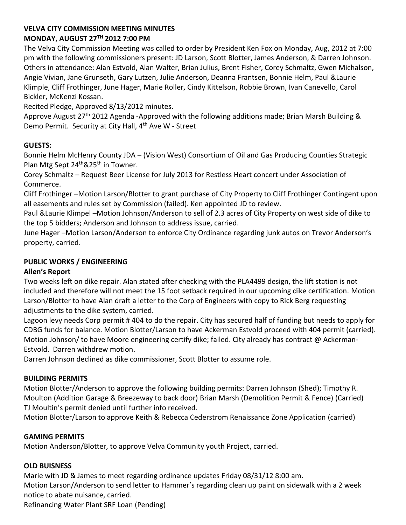# **VELVA CITY COMMISSION MEETING MINUTES MONDAY, AUGUST 27TH 2012 7:00 PM**

The Velva City Commission Meeting was called to order by President Ken Fox on Monday, Aug, 2012 at 7:00 pm with the following commissioners present: JD Larson, Scott Blotter, James Anderson, & Darren Johnson. Others in attendance: Alan Estvold, Alan Walter, Brian Julius, Brent Fisher, Corey Schmaltz, Gwen Michalson, Angie Vivian, Jane Grunseth, Gary Lutzen, Julie Anderson, Deanna Frantsen, Bonnie Helm, Paul &Laurie Klimple, Cliff Frothinger, June Hager, Marie Roller, Cindy Kittelson, Robbie Brown, Ivan Canevello, Carol Bickler, McKenzi Kossan.

Recited Pledge, Approved 8/13/2012 minutes.

Approve August 27<sup>th</sup> 2012 Agenda -Approved with the following additions made; Brian Marsh Building & Demo Permit. Security at City Hall, 4<sup>th</sup> Ave W - Street

# **GUESTS:**

Bonnie Helm McHenry County JDA – (Vision West) Consortium of Oil and Gas Producing Counties Strategic Plan Mtg Sept 24<sup>th</sup>&25<sup>th</sup> in Towner.

Corey Schmaltz – Request Beer License for July 2013 for Restless Heart concert under Association of Commerce.

Cliff Frothinger –Motion Larson/Blotter to grant purchase of City Property to Cliff Frothinger Contingent upon all easements and rules set by Commission (failed). Ken appointed JD to review.

Paul &Laurie Klimpel –Motion Johnson/Anderson to sell of 2.3 acres of City Property on west side of dike to the top 5 bidders; Anderson and Johnson to address issue, carried.

June Hager –Motion Larson/Anderson to enforce City Ordinance regarding junk autos on Trevor Anderson's property, carried.

# **PUBLIC WORKS / ENGINEERING**

## **Allen's Report**

Two weeks left on dike repair. Alan stated after checking with the PLA4499 design, the lift station is not included and therefore will not meet the 15 foot setback required in our upcoming dike certification. Motion Larson/Blotter to have Alan draft a letter to the Corp of Engineers with copy to Rick Berg requesting adjustments to the dike system, carried.

Lagoon levy needs Corp permit # 404 to do the repair. City has secured half of funding but needs to apply for CDBG funds for balance. Motion Blotter/Larson to have Ackerman Estvold proceed with 404 permit (carried). Motion Johnson/ to have Moore engineering certify dike; failed. City already has contract  $\omega$  Ackerman-Estvold. Darren withdrew motion.

Darren Johnson declined as dike commissioner, Scott Blotter to assume role.

## **BUILDING PERMITS**

Motion Blotter/Anderson to approve the following building permits: Darren Johnson (Shed); Timothy R. Moulton (Addition Garage & Breezeway to back door) Brian Marsh (Demolition Permit & Fence) (Carried) TJ Moultin's permit denied until further info received.

Motion Blotter/Larson to approve Keith & Rebecca Cederstrom Renaissance Zone Application (carried)

# **GAMING PERMITS**

Motion Anderson/Blotter, to approve Velva Community youth Project, carried.

## **OLD BUISNESS**

Marie with JD & James to meet regarding ordinance updates Friday 08/31/12 8:00 am. Motion Larson/Anderson to send letter to Hammer's regarding clean up paint on sidewalk with a 2 week notice to abate nuisance, carried.

Refinancing Water Plant SRF Loan (Pending)